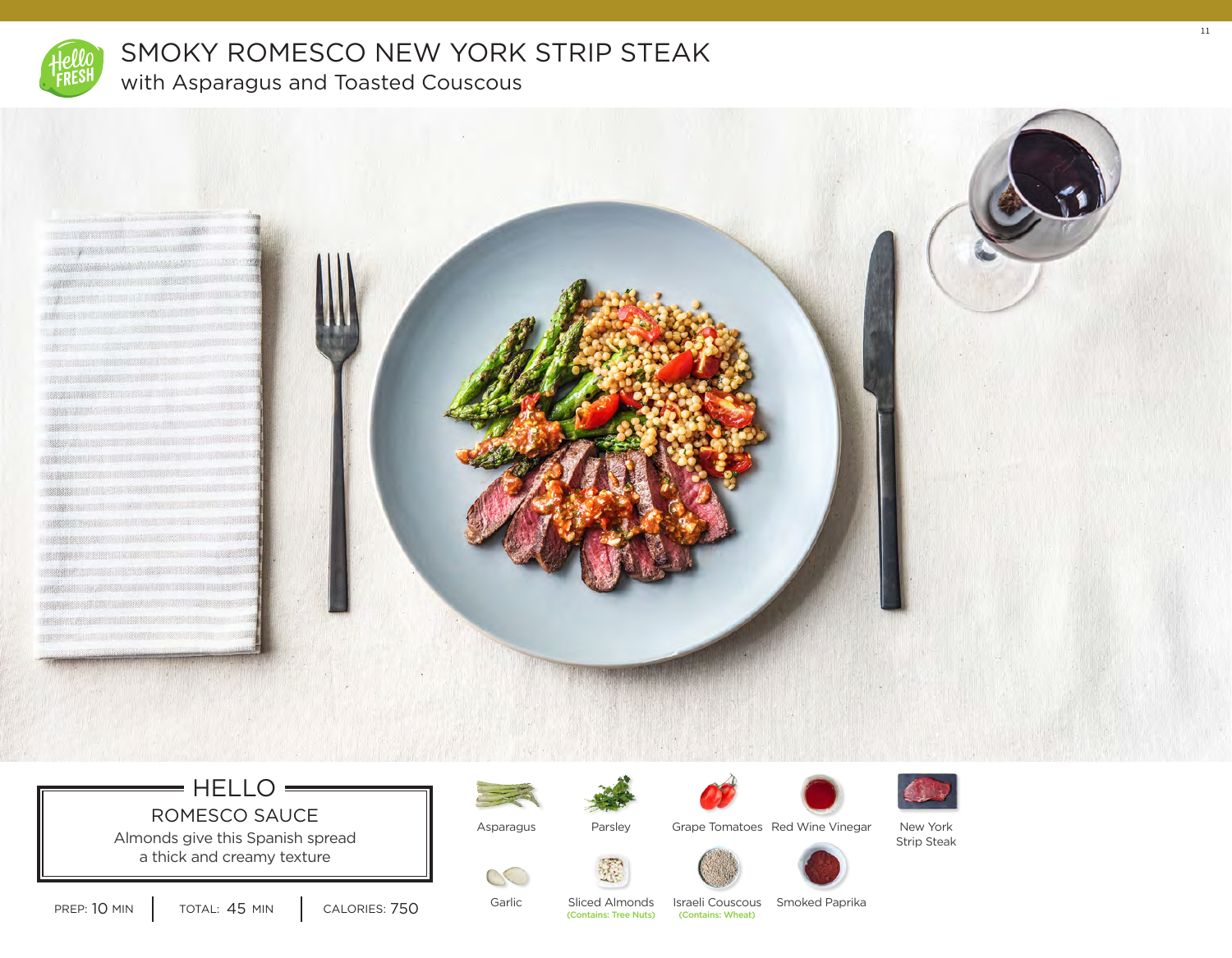

# SMOKY ROMESCO NEW YORK STRIP STEAK with Asparagus and Toasted Couscous



## $=$  HELLO  $=$

Almonds give this Spanish spread a thick and creamy texture ROMESCO SAUCE



Asparagus



Grape Tomatoes Red Wine Vinegar





New York Strip Steak 11

Sliced Almonds

Parsley

Israeli Couscous Smoked Paprika

PREP: 10 MIN TOTAL: 45 MIN CALORIES: 750 Garlic Sliced Almonds Israeli Couscous TOTAL: 45 MIN

Garlic